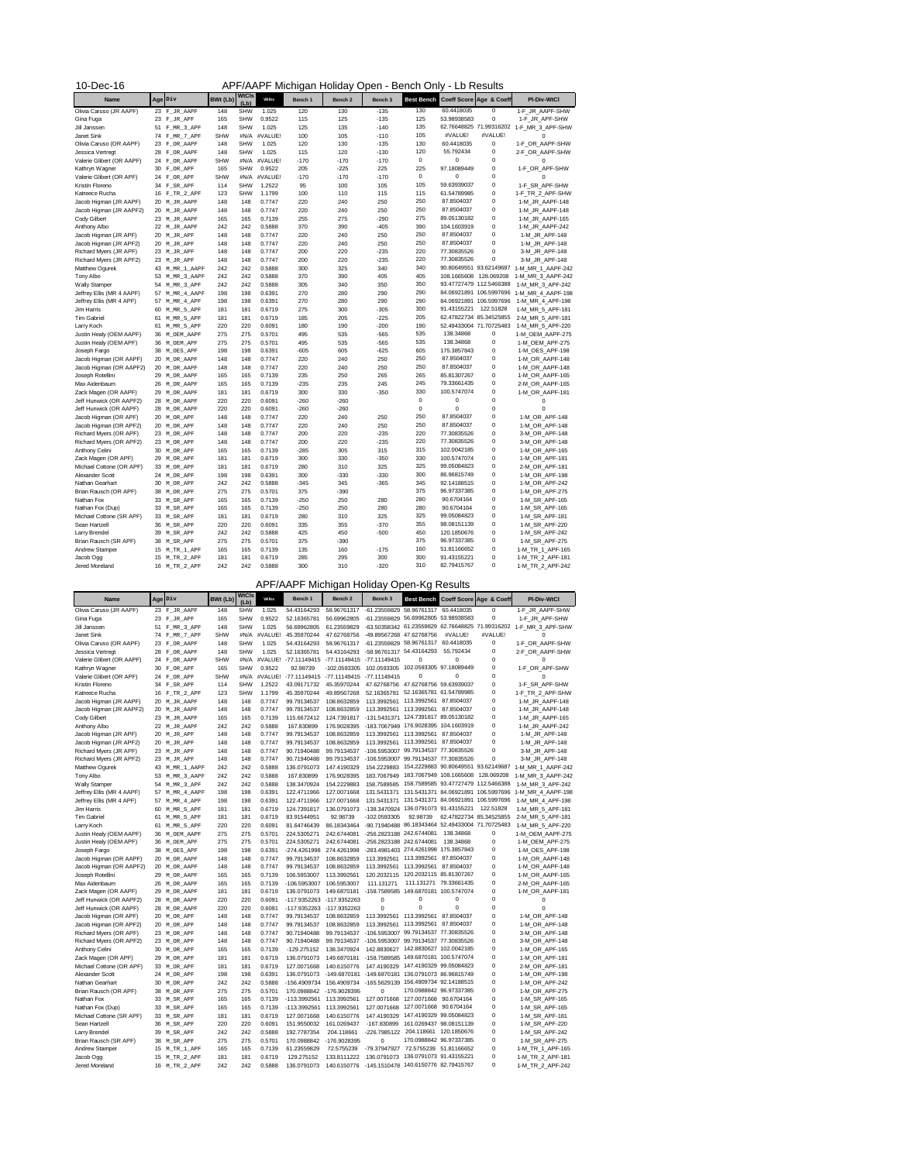| APF/AAPF Michigan Holiday Open - Bench Only - Lb Results<br>$10$ -Dec-16 |  |                  |                 |                      |         |         |                    |         |                   |                         |                                    |                    |
|--------------------------------------------------------------------------|--|------------------|-----------------|----------------------|---------|---------|--------------------|---------|-------------------|-------------------------|------------------------------------|--------------------|
| <b>Name</b>                                                              |  | Age Div          | <b>BWt (Lb)</b> | <b>WtCls</b><br>(Lb) | Wilks   | Bench 1 | Bench <sub>2</sub> | Bench 3 | <b>Best Bench</b> |                         | <b>Coeff Score Age &amp; Coeff</b> | <b>PI-Div-WtCl</b> |
| Olivia Caruso (JR AAPF)                                                  |  | 23 F_JR_AAPF     | 148             | <b>SHW</b>           | 1.025   | 120     | 130                | $-135$  | 130               | 60.4418035              | $\mathbf 0$                        | 1-F_JR_AAPF-SHW    |
| Gina Fuga                                                                |  | 23 F_JR_APF      | 165             | <b>SHW</b>           | 0.9522  | 115     | 125                | $-135$  | 125               | 53.98938583             | 0                                  | 1-F_JR_APF-SHW     |
| Jill Janssen                                                             |  | 51 F_MR_3_APF    | 148             | <b>SHW</b>           | 1.025   | 125     | 135                | $-140$  | 135               |                         | 62.76648825 71.99316202            | 1-F_MR_3_APF-SHW   |
| Janet Sink                                                               |  | 74 F_MR_7_APF    | <b>SHW</b>      | #N/A                 | #VALUE! | 100     | 105                | $-110$  | 105               | #VALUE!                 | #VALUE!                            | 0                  |
| Olivia Caruso (OR AAPF)                                                  |  | 23 FOR AAPF      | 148             | <b>SHW</b>           | 1.025   | 120     | 130                | $-135$  | 130               | 60.4418035              | 0                                  | 1-F_OR_AAPF-SHW    |
| Jessica Vertregt                                                         |  | 28 F_OR_AAPF     | 148             | <b>SHW</b>           | 1.025   | 115     | 120                | $-130$  | 120               | 55.792434               | 0                                  | 2-F_OR_AAPF-SHW    |
| Valerie Glibert (OR AAPF)                                                |  | 24 FOR_AAPF      | <b>SHW</b>      | #N/A                 | #VALUE! | $-170$  | $-170$             | $-170$  | $\mathbf 0$       | 0                       | $\mathbf 0$                        | 0                  |
| Kathryn Wagner                                                           |  | 30 FOR APF       | 165             | <b>SHW</b>           | 0.9522  | 205     | $-225$             | 225     | 225               | 97.18089449             | 0                                  | 1-F_OR_APF-SHW     |
| Valerie Glibert (OR APF)                                                 |  | 24 FOR_APF       | <b>SHW</b>      | #N/A                 | #VALUE! | $-170$  | $-170$             | $-170$  | $\mathbf 0$       | 0                       | 0                                  | 0                  |
| Kristin Floreno                                                          |  | 34 F_SR_APF      | 114             | <b>SHW</b>           | 1.2522  | 95      | 100                | 105     | 105               | 59.63939037             | 0                                  | 1-F_SR_APF-SHW     |
| Katreece Rucha                                                           |  | $16$ $F_TR_2APF$ | 123             | <b>SHW</b>           | 1.1799  | 100     | 110                | 115     | 115               | 61.54789985             | 0                                  | 1-F_TR_2_APF-SHW   |
| Jacob Higman (JR AAPF)                                                   |  | 20 M_JR_AAPF     | 148             | 148                  | 0.7747  | 220     | 240                | 250     | 250               | 87.8504037              | 0                                  | 1-M_JR_AAPF-148    |
| Jacob Higman (JR AAPF2)                                                  |  | 20 M_JR_AAPF     | 148             | 148                  | 0.7747  | 220     | 240                | 250     | 250               | 87.8504037              | 0                                  | 1-M_JR_AAPF-148    |
| <b>Cody Gilbert</b>                                                      |  | 23 M_JR_AAPF     | 165             | 165                  | 0.7139  | 255     | 275                | $-290$  | 275               | 89.05130182             | 0                                  | 1-M_JR_AAPF-165    |
| Anthony Albo                                                             |  | 22 M_JR_AAPF     | 242             | 242                  | 0.5888  | 370     | 390                | $-405$  | 390               | 104.1603919             | 0                                  | 1-M_JR_AAPF-242    |
| Jacob Higman (JR APF)                                                    |  | 20 M_JR_APF      | 148             | 148                  | 0.7747  | 220     | 240                | 250     | 250               | 87.8504037              | 0                                  | 1-M JR APF-148     |
| Jacob Higman (JR APF2)                                                   |  | 20 M_JR_APF      | 148             | 148                  | 0.7747  | 220     | 240                | 250     | 250               | 87.8504037              | 0                                  | 1-M_JR_APF-148     |
| Richard Myers (JR APF)                                                   |  | 23 M_JR_APF      | 148             | 148                  | 0.7747  | 200     | 220                | $-235$  | 220               | 77.30835526             | 0                                  | 3-M_JR_APF-148     |
| Richard Myers (JR APF2)                                                  |  | 23 M_JR_APF      | 148             | 148                  | 0.7747  | 200     | 220                | $-235$  | 220               | 77.30835526             | 0                                  | 3-M_JR_APF-148     |
| Matthew Ogurek                                                           |  | 43 M_MR_1_AAPF   | 242             | 242                  | 0.5888  | 300     | 325                | 340     | 340               | 90.80649551 93.62149687 |                                    | 1-M_MR_1_AAPF-242  |
| Tony Albo                                                                |  | 53 M_MR_3_AAPF   | 242             | 242                  | 0.5888  | 370     | 390                | 405     | 405               | 108.1665608             | 128.069208                         | 1-M_MR_3_AAPF-242  |
| <b>Wally Stamper</b>                                                     |  | 54 M_MR_3_APF    | 242             | 242                  | 0.5888  | 305     | 340                | 350     | 350               | 93.47727479 112.5466388 |                                    | 1-M_MR_3_APF-242   |
| Jeffrey Ellis (MR 4 AAPF)                                                |  | 57 M_MR_4_AAPF   | 198             | 198                  | 0.6391  | 270     | 280                | 290     | 290               |                         | 84.06921891 106.5997696            | 1-M_MR_4_AAPF-198  |
| Jeffrey Ellis (MR 4 APF)                                                 |  | 57 M_MR_4_APF    | 198             | 198                  | 0.6391  | 270     | 280                | 290     | 290               | 84.06921891 106.5997696 |                                    | 1-M_MR_4_APF-198   |
| Jim Harris                                                               |  | 60 M_MR_5_APF    | 181             | 181                  | 0.6719  | 275     | 300                | $-305$  | 300               | 91.43155221             | 122.51828                          | 1-M_MR_5_APF-181   |
| <b>Tim Gabriel</b>                                                       |  | 61 M_MR_5_APF    | 181             | 181                  | 0.6719  | 185     | 205                | $-225$  | 205               | 62.47822734 85.34525855 |                                    | 2-M MR 5 APF-181   |
| Larry Koch                                                               |  | 61 M_MR_5_APF    | 220             | 220                  | 0.6091  | 180     | 190                | $-200$  | 190               | 52.49433004 71.70725483 |                                    | 1-M_MR_5_APF-220   |
| Justin Healy (OEM AAPF)                                                  |  | 36 M_OEM_AAPF    | 275             | 275                  | 0.5701  | 495     | 535                | $-565$  | 535               | 138.34868               | 0                                  | 1-M_OEM_AAPF-275   |
| Justin Healy (OEM APF)                                                   |  | 36 M_OEM_APF     | 275             | 275                  | 0.5701  | 495     | 535                | $-565$  | 535               | 138.34868               | $\mathbf 0$                        | 1-M_OEM_APF-275    |
| Joseph Fargo                                                             |  | 38 MOES_APF      | 198             | 198                  | 0.6391  | $-605$  | 605                | $-625$  | 605               | 175.3857843             | $\mathbf 0$                        | 1-M_OES_APF-198    |
| Jacob Higman (OR AAPF)                                                   |  | 20 M_OR_AAPF     | 148             | 148                  | 0.7747  | 220     | 240                | 250     | 250               | 87.8504037              | $\mathbf 0$                        | 1-M_OR_AAPF-148    |
| Jacob Higman (OR AAPF2)                                                  |  | 20 M_OR_AAPF     | 148             | 148                  | 0.7747  | 220     | 240                | 250     | 250               | 87.8504037              | $\mathbf 0$                        | 1-M_OR_AAPF-148    |
| Joseph Rotellini                                                         |  | 29 MOR_AAPF      | 165             | 165                  | 0.7139  | 235     | 250                | 265     | 265               | 85.81307267             | 0                                  | 1-M_OR_AAPF-165    |
| Max Aidenbaum                                                            |  | 26 M_OR_AAPF     | 165             | 165                  | 0.7139  | $-235$  | 235                | 245     | 245               | 79.33661435             | $\mathbf 0$                        | 2-M_OR_AAPF-165    |
| Zack Magen (OR AAPF)                                                     |  | 29 MOR_AAPF      | 181             | 181                  | 0.6719  | 300     | 330                | $-350$  | 330               | 100.5747074             | $\mathbf 0$                        | 1-M_OR_AAPF-181    |
| Jeff Hunwick (OR AAPF2)                                                  |  | 28 MOR_AAPF      | 220             | 220                  | 0.6091  | $-260$  | $-260$             |         | $\mathbf 0$       | 0                       | 0                                  | 0                  |
| Jeff Hunwick (OR AAPF)                                                   |  | 28 MOR_AAPF      | 220             | 220                  | 0.6091  | $-260$  | $-260$             |         | $\mathbf 0$       | 0                       | $\mathbf 0$                        | 0                  |
| Jacob Higman (OR APF)                                                    |  | 20 M_OR_APF      | 148             | 148                  | 0.7747  | 220     | 240                | 250     | 250               | 87.8504037              | $\mathbf 0$                        | 1-M_OR_APF-148     |
| Jacob Higman (OR APF2)                                                   |  | 20 M_OR_APF      | 148             | 148                  | 0.7747  | 220     | 240                | 250     | 250               | 87.8504037              | $\mathbf 0$                        | 1-M_OR_APF-148     |
| Richard Myers (OR APF)                                                   |  | 23 M_OR_APF      | 148             | 148                  | 0.7747  | 200     | 220                | $-235$  | 220               | 77.30835526             | $\mathbf 0$                        | 3-M_OR_APF-148     |
| Richard Myers (OR APF2)                                                  |  | 23 M_OR_APF      | 148             | 148                  | 0.7747  | 200     | 220                | $-235$  | 220               | 77.30835526             | $\mathbf 0$                        | 3-M_OR_APF-148     |
| Anthony Celini                                                           |  | 30 M_OR_APF      | 165             | 165                  | 0.7139  | $-285$  | 305                | 315     | 315               | 102.0042185             | $\mathbf 0$                        | 1-M_OR_APF-165     |
| Zack Magen (OR APF)                                                      |  | 29 M_OR_APF      | 181             | 181                  | 0.6719  | 300     | 330                | $-350$  | 330               | 100.5747074             | $\mathbf 0$                        | 1-M_OR_APF-181     |
| Michael Cottone (OR APF)                                                 |  | 33 MOR_APF       | 181             | 181                  | 0.6719  | 280     | 310                | 325     | 325               | 99.05084823             | $\mathbf 0$                        | 2-M_OR_APF-181     |
| Alexander Scott                                                          |  | 24 MOR_APF       | 198             | 198                  | 0.6391  | 300     | $-330$             | $-330$  | 300               | 86.96815749             | $\mathbf 0$                        | 1-M_OR_APF-198     |
| Nathan Gearhart                                                          |  | 30 M_OR_APF      | 242             | 242                  | 0.5888  | $-345$  | 345                | $-365$  | 345               | 92.14188515             | $\mathbf 0$                        | 1-M_OR_APF-242     |
| Brian Rausch (OR APF)                                                    |  | 38 MOR_APF       | 275             | 275                  | 0.5701  | 375     | $-390$             |         | 375               | 96.97337385             | 0                                  | 1-M_OR_APF-275     |
| Nathan Fox                                                               |  | 33 M_SR_APF      | 165             | 165                  | 0.7139  | $-250$  | 250                | 280     | 280               | 90.6704164              | 0                                  | 1-M_SR_APF-165     |
| Nathan Fox (Dup)                                                         |  | 33 M_SR_APF      | 165             | 165                  | 0.7139  | $-250$  | 250                | 280     | 280               | 90.6704164              | 0                                  | 1-M_SR_APF-165     |

| Michael Cottone (SR APF) | 33 M SR APF          | 181 | 181 | 0.6719 | 280 | 310    | 325    | 325 | 99.05084823 | 1-M SR APF-181   |
|--------------------------|----------------------|-----|-----|--------|-----|--------|--------|-----|-------------|------------------|
| Sean Hartzell            | 36 M_SR_APF          | 220 | 220 | 0.6091 | 335 | 355    | $-370$ | 355 | 98.08151139 | 1-M SR APF-220   |
| Larry Brendel            | 39 M_SR_APF          | 242 | 242 | 0.5888 | 425 | 450    | $-500$ | 450 | 120.1850676 | 1-M SR APF-242   |
| Brian Rausch (SR APF)    | 38 M SR APF          | 275 | 275 | 0.5701 | 375 | $-390$ |        | 375 | 96.97337385 | 1-M SR APF-275   |
| <b>Andrew Stamper</b>    | 15 M_TR_1_APF        | 165 | 165 | 0.7139 | 135 | 160    | -175   | 160 | 51.81166652 | 1-M TR 1 APF-165 |
| Jacob Ogg                | 15 M_TR_2_APF        | 181 | 181 | 0.6719 | 285 | 295    | 300    | 300 | 91.43155221 | 1-M TR 2 APF-181 |
| Jered Moreland           | <b>16</b> M TR 2 APF | 242 | 242 | 0.5888 | 300 | 310    | $-320$ | 310 | 82.79415767 | 1-M TR 2 APF-242 |

| <b>Name</b>               |    | Age Div        | BWt (Lb)   | <b>WtCls</b><br>(Lb) | Wilks   | Bench 1      | Bench <sub>2</sub>        | Bench <sub>3</sub>                               |                         |                                     | Best Bench Coeff Score Age & Coeff | <b>PI-Div-WtCl</b> |
|---------------------------|----|----------------|------------|----------------------|---------|--------------|---------------------------|--------------------------------------------------|-------------------------|-------------------------------------|------------------------------------|--------------------|
| Olivia Caruso (JR AAPF)   |    | 23 F_JR_AAPF   | 148        | <b>SHW</b>           | 1.025   | 54.43164293  | 58.96761317               | -61.23559829 58.96761317                         |                         | 60.4418035                          | $\mathbf 0$                        | 1-F_JR_AAPF-SHW    |
| Gina Fuga                 |    | 23 F_JR_APF    | 165        | <b>SHW</b>           | 0.9522  | 52.16365781  | 56.69962805               | -61.23559829 56.69962805 53.98938583             |                         |                                     | 0                                  | 1-F_JR_APF-SHW     |
| Jill Janssen              | 51 | F_MR_3_APF     | 148        | <b>SHW</b>           | 1.025   | 56.69962805  | 61.23559829               | -63.50358342 61.23559829 62.76648825 71.99316202 |                         |                                     |                                    | 1-F MR 3 APF-SHW   |
| Janet Sink                |    | 74 F MR 7 APF  | <b>SHW</b> | #N/A                 | #VALUE! | 45.35970244  | 47.62768756               | -49.89567268 47.62768756                         |                         | #VALUE!                             | #VALUE!                            | 0                  |
| Olivia Caruso (OR AAPF)   |    | 23 FOR AAPF    | 148        | <b>SHW</b>           | 1.025   | 54.43164293  | 58.96761317               | -61.23559829                                     | 58.96761317             | 60.4418035                          | 0                                  | 1-F_OR_AAPF-SHW    |
| Jessica Vertregt          |    | 28 FOR AAPF    | 148        | <b>SHW</b>           | 1.025   | 52.16365781  | 54.43164293               | -58.96761317                                     | 54.43164293             | 55.792434                           | 0                                  | 2-F OR AAPF-SHW    |
| Valerie Glibert (OR AAPF) |    | 24 F_OR_AAPF   | <b>SHW</b> | #N/A                 | #VALUE! | -77.11149415 | -77.11149415              | -77.11149415                                     | $\mathbf 0$             | 0                                   | 0                                  |                    |
| Kathryn Wagner            |    | 30 F_OR_APF    | 165        | <b>SHW</b>           | 0.9522  | 92.98739     | -102.0593305              | 102.0593305                                      |                         | 102.0593305 97.18089449             | 0                                  | 1-F_OR_APF-SHW     |
| Valerie Glibert (OR APF)  |    | 24 FOR APF     | <b>SHW</b> | #N/A                 | #VALUE! | -77.11149415 | -77.11149415 -77.11149415 |                                                  | 0                       | 0                                   | 0                                  |                    |
| Kristin Floreno           |    | 34 F_SR_APF    | 114        | <b>SHW</b>           | 1.2522  | 43.09171732  | 45.35970244               | 47.62768756                                      | 47.62768756 59.63939037 |                                     | 0                                  | 1-F_SR_APF-SHW     |
| Katreece Rucha            |    | 16 F_TR_2_APF  | 123        | <b>SHW</b>           | 1.1799  | 45.35970244  | 49.89567268               | 52.16365781                                      |                         | 52.16365781 61.54789985             | 0                                  | 1-F_TR_2_APF-SHW   |
| Jacob Higman (JR AAPF)    |    | 20 M JR AAPF   | 148        | 148                  | 0.7747  | 99.79134537  | 108.8632859               | 113.3992561                                      | 113.3992561             | 87.8504037                          | 0                                  | 1-M_JR_AAPF-148    |
| Jacob Higman (JR AAPF2)   |    | 20 M JR AAPF   | 148        | 148                  | 0.7747  | 99.79134537  | 108.8632859               | 113.3992561                                      | 113.3992561             | 87.8504037                          | 0                                  | 1-M_JR_AAPF-148    |
| <b>Cody Gilbert</b>       |    | 23 M_JR_AAPF   | 165        | 165                  | 0.7139  | 115.6672412  | 124.7391817               | -131.5431371                                     |                         | 124.7391817 89.05130182             | 0                                  | 1-M JR AAPF-165    |
| Anthony Albo              |    | 22 M_JR_AAPF   | 242        | 242                  | 0.5888  | 167.830899   | 176.9028395               | -183.7067949                                     |                         | 176.9028395 104.1603919             | 0                                  | 1-M JR AAPF-242    |
| Jacob Higman (JR APF)     |    | 20 M_JR_APF    | 148        | 148                  | 0.7747  | 99.79134537  | 108.8632859               | 113.3992561                                      | 113.3992561             | 87.8504037                          | 0                                  | 1-M_JR_APF-148     |
| Jacob Higman (JR APF2)    |    | 20 M_JR_APF    | 148        | 148                  | 0.7747  | 99.79134537  | 108.8632859               | 113.3992561                                      | 113.3992561             | 87.8504037                          | 0                                  | 1-M JR APF-148     |
| Richard Myers (JR APF)    |    | 23 M_JR_APF    | 148        | 148                  | 0.7747  | 90.71940488  | 99.79134537               | -106.5953007                                     |                         | 99.79134537 77.30835526             | 0                                  | 3-M_JR_APF-148     |
| Richard Myers (JR APF2)   |    | 23 M JR APF    | 148        | 148                  | 0.7747  | 90.71940488  | 99.79134537               | -106.5953007                                     | 99.79134537 77.30835526 |                                     | 0                                  | 3-M_JR_APF-148     |
| Matthew Ogurek            |    | 43 M_MR_1_AAPF | 242        | 242                  | 0.5888  | 136.0791073  | 147.4190329               | 154.2229883                                      |                         | 154.2229883 90.80649551 93.62149687 |                                    | 1-M_MR_1_AAPF-242  |
| Tony Albo                 |    | 53 M_MR_3_AAPF | 242        | 242                  | 0.5888  | 167.830899   | 176.9028395               | 183.7067949                                      |                         | 183.7067949 108.1665608             | 128.069208                         | 1-M_MR_3_AAPF-242  |
| <b>Wally Stamper</b>      |    | 54 M_MR_3_APF  | 242        | 242                  | 0.5888  | 138.3470924  | 154.2229883               | 158.7589585                                      |                         | 158.7589585 93.47727479 112.5466388 |                                    | 1-M_MR_3_APF-242   |
| Jeffrey Ellis (MR 4 AAPF) |    | 57 M_MR_4_AAPF | 198        | 198                  | 0.6391  | 122.4711966  | 127.0071668               | 131.5431371                                      |                         | 131.5431371 84.06921891 106.5997696 |                                    | 1-M_MR_4_AAPF-198  |
| Jeffrey Ellis (MR 4 APF)  |    | 57 M_MR_4_APF  | 198        | 198                  | 0.6391  | 122.4711966  | 127.0071668               | 131.5431371                                      |                         | 131.5431371 84.06921891 106.5997696 |                                    | 1-M_MR_4_APF-198   |
| Jim Harris                |    | 60 M_MR_5_APF  | 181        | 181                  | 0.6719  | 124.7391817  | 136.0791073               | -138.3470924 136.0791073 91.43155221             |                         |                                     | 122.51828                          | 1-M_MR_5_APF-181   |
| <b>Tim Gabriel</b>        |    | 61 M_MR_5_APF  | 181        | 181                  | 0.6719  | 83.91544951  | 92.98739                  | -102.0593305                                     | 92.98739                | 62.47822734 85.34525855             |                                    | 2-M MR 5 APF-181   |
| Larry Koch                |    | 61 M_MR_5_APF  | 220        | 220                  | 0.6091  | 81.64746439  | 86.18343464               | -90.71940488 86.18343464 52.49433004 71.70725483 |                         |                                     |                                    | 1-M_MR_5_APF-220   |
| Justin Healy (OEM AAPF)   |    | 36 M_OEM_AAPF  | 275        | 275                  | 0.5701  | 224.5305271  | 242.6744081               | -256.2823188 242.6744081                         |                         | 138.34868                           | 0                                  | 1-M_OEM_AAPF-275   |
| Justin Healy (OEM APF)    |    | 36 M_OEM_APF   | 275        | 275                  | 0.5701  | 224.5305271  | 242.6744081               | -256.2823188 242.6744081                         |                         | 138.34868                           | 0                                  | 1-M_OEM_APF-275    |
| Joseph Fargo              |    | 38 M_OES_APF   | 198        | 198                  | 0.6391  |              | -274.4261998 274.4261998  | -283.4981403 274.4261998 175.3857843             |                         |                                     | 0                                  | 1-M_OES_APF-198    |
| Jacob Higman (OR AAPF)    |    | 20 M_OR_AAPF   | 148        | 148                  | 0.7747  | 99.79134537  | 108.8632859               | 113.3992561                                      | 113.3992561             | 87.8504037                          | 0                                  | 1-M_OR_AAPF-148    |
| Jacob Higman (OR AAPF2)   |    | 20 M_OR_AAPF   | 148        | 148                  | 0.7747  | 99.79134537  | 108.8632859               | 113.3992561                                      | 113.3992561             | 87.8504037                          | 0                                  | 1-M_OR_AAPF-148    |
| Joseph Rotellini          |    | 29 MOR_AAPF    | 165        | 165                  | 0.7139  | 106.5953007  | 113.3992561               | 120.2032115                                      |                         | 120.2032115 85.81307267             | 0                                  | 1-M OR AAPF-165    |
| Max Aidenbaum             |    | 26 M_OR_AAPF   | 165        | 165                  | 0.7139  | -106.5953007 | 106.5953007               | 111.131271                                       | 111.131271              | 79.33661435                         | 0                                  | 2-M_OR_AAPF-165    |
| Zack Magen (OR AAPF)      |    | 29 MOR_AAPF    | 181        | 181                  | 0.6719  | 136.0791073  | 149.6870181               | -158.7589585                                     |                         | 149.6870181 100.5747074             | 0                                  | 1-M_OR_AAPF-181    |
| Jeff Hunwick (OR AAPF2)   |    | 28 MOR_AAPF    | 220        | 220                  | 0.6091  | -117.9352263 | -117.9352263              | 0                                                | 0                       | 0                                   | 0                                  | 0                  |
| Jeff Hunwick (OR AAPF)    |    | 28 M_OR_AAPF   | 220        | 220                  | 0.6091  | -117.9352263 | -117.9352263              | 0                                                | $\Omega$                | 0                                   | 0                                  | 0                  |
| Jacob Higman (OR APF)     |    | 20 M_OR_APF    | 148        | 148                  | 0.7747  | 99.79134537  | 108.8632859               | 113.3992561                                      | 113.3992561             | 87.8504037                          | 0                                  | 1-M_OR_APF-148     |
| Jacob Higman (OR APF2)    |    | 20 M_OR_APF    | 148        | 148                  | 0.7747  | 99.79134537  | 108.8632859               | 113.3992561                                      | 113.3992561             | 87.8504037                          | 0                                  | 1-M OR APF-148     |
| Richard Myers (OR APF)    |    | 23 M_OR_APF    | 148        | 148                  | 0.7747  | 90.71940488  | 99.79134537               | -106.5953007                                     |                         | 99.79134537 77.30835526             | 0                                  | 3-M_OR_APF-148     |
| Richard Myers (OR APF2)   |    | 23 M_OR_APF    | 148        | 148                  | 0.7747  | 90.71940488  | 99.79134537               | -106.5953007 99.79134537 77.30835526             |                         |                                     | 0                                  | 3-M_OR_APF-148     |
| Anthony Celini            |    | 30 M_OR_APF    | 165        | 165                  | 0.7139  | -129.275152  | 138.3470924               | 142.8830627                                      |                         | 142.8830627 102.0042185             | 0                                  | 1-M_OR_APF-165     |
| Zack Magen (OR APF)       |    | 29 M_OR_APF    | 181        | 181                  | 0.6719  | 136.0791073  | 149.6870181               | -158.7589585                                     |                         | 149.6870181 100.5747074             | 0                                  | 1-M_OR_APF-181     |
| Michael Cottone (OR APF)  |    | 33 MOR_APF     | 181        | 181                  | 0.6719  | 127.0071668  | 140.6150776               | 147.4190329                                      |                         | 147.4190329 99.05084823             | 0                                  | 2-M_OR_APF-181     |
| Alexander Scott           |    | 24 M_OR_APF    | 198        | 198                  | 0.6391  | 136.0791073  | -149.6870181              | -149.6870181                                     |                         | 136.0791073 86.96815749             | 0                                  | 1-M_OR_APF-198     |
| Nathan Gearhart           |    | 30 M_OR_APF    | 242        | 242                  | 0.5888  | -156.4909734 | 156.4909734               | -165.5629139                                     |                         | 156.4909734 92.14188515             | 0                                  | 1-M_OR_APF-242     |
| Brian Rausch (OR APF)     |    | 38 MOR_APF     | 275        | 275                  | 0.5701  | 170.0988842  | -176.9028395              | $\mathbf 0$                                      |                         | 170.0988842 96.97337385             | 0                                  | 1-M_OR_APF-275     |
| Nathan Fox                |    | 33 M_SR_APF    | 165        | 165                  | 0.7139  | -113.3992561 | 113.3992561               | 127.0071668                                      | 127.0071668 90.6704164  |                                     | 0                                  | 1-M_SR_APF-165     |
| Nathan Fox (Dup)          |    | 33 M_SR_APF    | 165        | 165                  | 0.7139  | -113.3992561 | 113.3992561               | 127.0071668                                      | 127.0071668 90.6704164  |                                     | $\boldsymbol{0}$                   | 1-M_SR_APF-165     |
| Michael Cottone (SR APF)  |    | 33 M_SR_APF    | 181        | 181                  | 0.6719  | 127.0071668  | 140.6150776               | 147.4190329                                      |                         | 147.4190329 99.05084823             | 0                                  | 1-M_SR_APF-181     |
| Sean Hartzell             |    | 36 M_SR_APF    | 220        | 220                  | 0.6091  | 151.9550032  | 161.0269437               | -167.830899                                      |                         | 161.0269437 98.08151139             | 0                                  | 1-M_SR_APF-220     |
| <b>Larry Brendel</b>      |    | 39 M_SR_APF    | 242        | 242                  | 0.5888  | 192.7787354  | 204.118661                | -226.7985122                                     |                         | 204.118661 120.1850676              | 0                                  | 1-M_SR_APF-242     |
| Brian Rausch (SR APF)     |    | 38 M_SR_APF    | 275        | 275                  | 0.5701  | 170.0988842  | -176.9028395              | 0                                                |                         | 170.0988842 96.97337385             | 0                                  | 1-M_SR_APF-275     |
| <b>Andrew Stamper</b>     |    | 15 M_TR_1_APF  | 165        | 165                  | 0.7139  | 61.23559829  | 72.5755239                | -79.37947927                                     |                         | 72.5755239 51.81166652              | 0                                  | 1-M_TR_1_APF-165   |
| Jacob Ogg                 |    | 15 M_TR_2_APF  | 181        | 181                  | 0.6719  | 129.275152   | 133.8111222               | 136.0791073                                      | 136.0791073 91.43155221 |                                     | 0                                  | 1-M_TR_2_APF-181   |
| Jered Moreland            |    | 16 M_TR_2_APF  | 242        | 242                  | 0.5888  | 136.0791073  | 140.6150776               | -145.1510478 140.6150776 82.79415767             |                         |                                     | 0                                  | 1-M_TR_2_APF-242   |

## APF/AAPF Michigan Holiday Open - Bench Only - Lb Results

## APF/AAPF Michigan Holiday Open-Kg Results